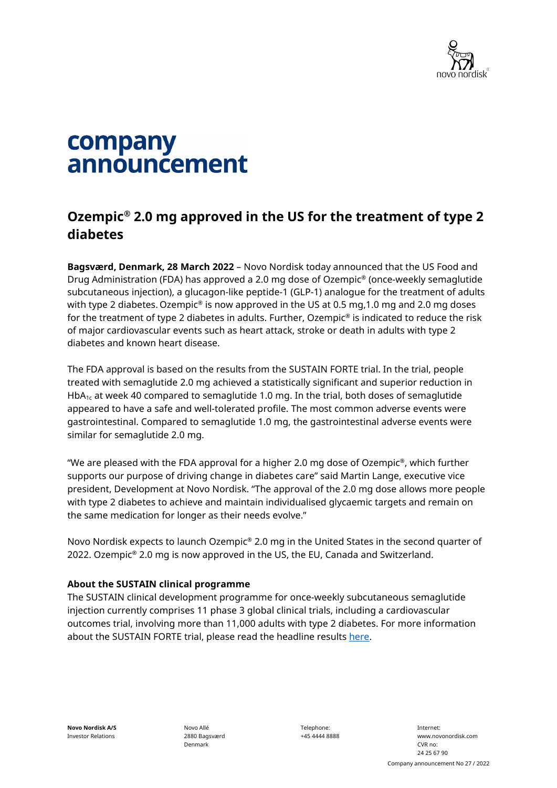

# company announcement

# **Ozempic® 2.0 mg approved in the US for the treatment of type 2 diabetes**

**Bagsværd, Denmark, 28 March 2022** – Novo Nordisk today announced that the US Food and Drug Administration (FDA) has approved a 2.0 mg dose of Ozempic® (once-weekly semaglutide subcutaneous injection), a glucagon-like peptide-1 (GLP-1) analogue for the treatment of adults with type 2 diabetes. Ozempic<sup>®</sup> is now approved in the US at 0.5 mg, 1.0 mg and 2.0 mg doses for the treatment of type 2 diabetes in adults. Further, Ozempic<sup>®</sup> is indicated to reduce the risk of major cardiovascular events such as heart attack, stroke or death in adults with type 2 diabetes and known heart disease.

The FDA approval is based on the results from the SUSTAIN FORTE trial. In the trial, people treated with semaglutide 2.0 mg achieved a statistically significant and superior reduction in HbA<sub>1c</sub> at week 40 compared to semaglutide 1.0 mg. In the trial, both doses of semaglutide appeared to have a safe and well-tolerated profile. The most common adverse events were gastrointestinal. Compared to semaglutide 1.0 mg, the gastrointestinal adverse events were similar for semaglutide 2.0 mg.

"We are pleased with the FDA approval for a higher 2.0 mg dose of Ozempic<sup>®</sup>, which further supports our purpose of driving change in diabetes care" said Martin Lange, executive vice president, Development at Novo Nordisk. "The approval of the 2.0 mg dose allows more people with type 2 diabetes to achieve and maintain individualised glycaemic targets and remain on the same medication for longer as their needs evolve."

Novo Nordisk expects to launch Ozempic® 2.0 mg in the United States in the second quarter of 2022. Ozempic® 2.0 mg is now approved in the US, the EU, Canada and Switzerland.

## **About the SUSTAIN clinical programme**

The SUSTAIN clinical development programme for once-weekly subcutaneous semaglutide injection currently comprises 11 phase 3 global clinical trials, including a cardiovascular outcomes trial, involving more than 11,000 adults with type 2 diabetes. For more information about the SUSTAIN FORTE trial, please read the headline results [here.](https://ml-eu.globenewswire.com/Resource/Download/2050d050-81c0-4606-98dd-0120429d3587)

Novo Allé 2880 Bagsværd Denmark

Telephone: +45 4444 8888